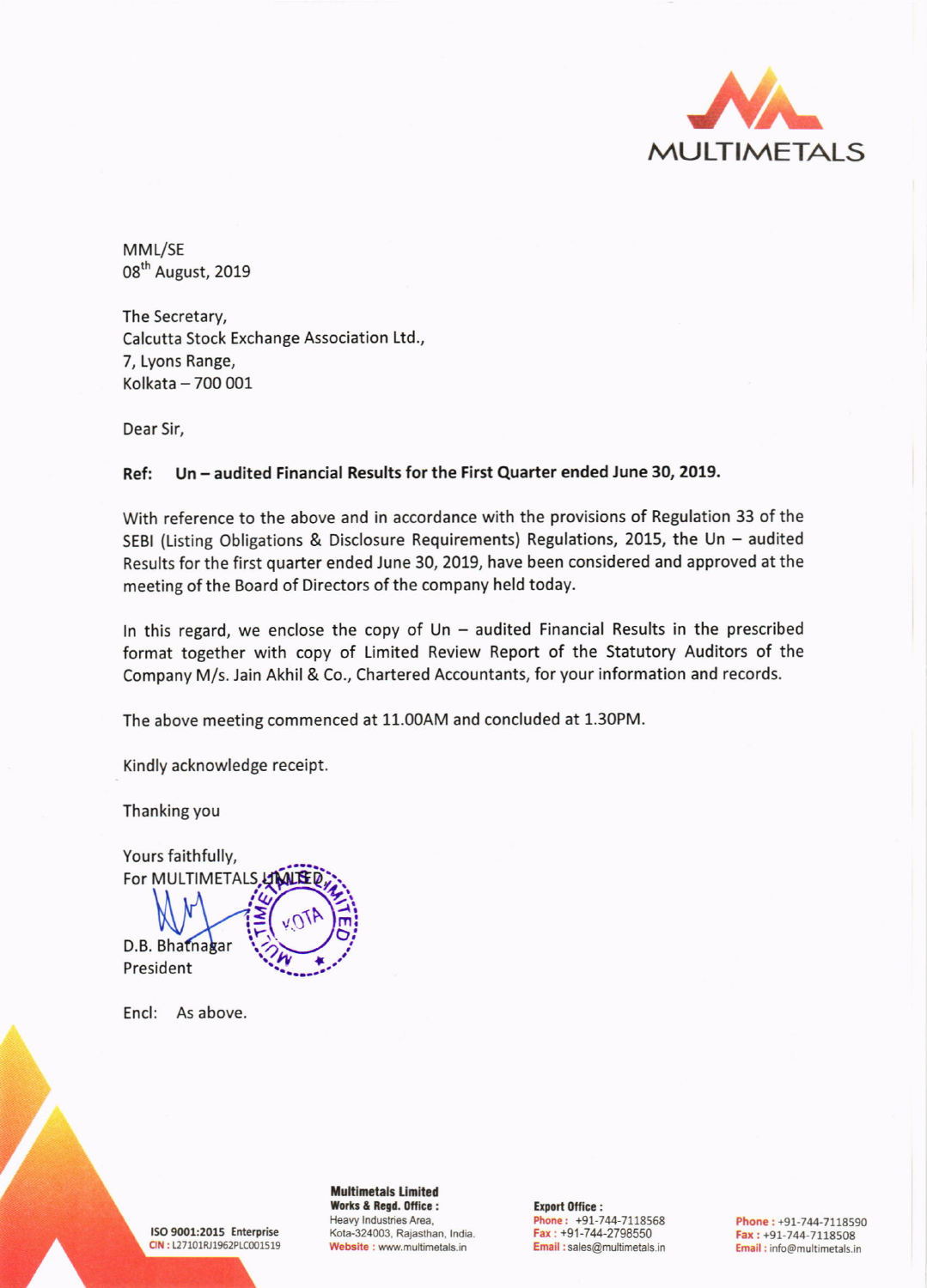

MML/SE 08<sup>th</sup> August, 2019

The Secretary, Calcutta Stock Exchange Association Ltd., 7, Lyons Range, Kolkata - 700 001

Dear Sir,

## Ref: Un - audited Financial Results for the First Quarter ended June 30, 2019.

With reference to the above and in accordance with the provisions of Regulation 33 of the SEBI (Listing Obligations & Disclosure Requirements) Regulations, 2015, the Un - audited Results for the first quarter ended June 30, 2019, have been considered and approved at the meeting of the Board of Directors of the company held today.

In this regard, we enclose the copy of  $Un -$  audited Financial Results in the prescribed format together with copy of Limited Review Report of the Statutory Auditors of the Company M/s. Jain Akhil & Co., Chartered Accountants, for your information and records.

The above meeting commenced at 11.00AM and concluded at 1.30PM.

Kindly acknowledge receipt.

Thanking you

Yours faithfully, For MULTIMETALS x

D.B. Bhatnagar President

Encl: As above.

lS0 9001:2015 [nterprise CIN: L27101RJ1962PLC001519

Multimetals Limited<br>Works & Regd. Office : Heavy Industries Area, Kota-324003, Rajasthan, lndia. Website : www.multimetals.in

Export Office : Phone: +91-744-7118568 Fax : +91-744-2798550 Email: sales@multimetals.in

Phone: +91-744-7118590 Fax: +91-744-7118508 Email: info@multimetals.in